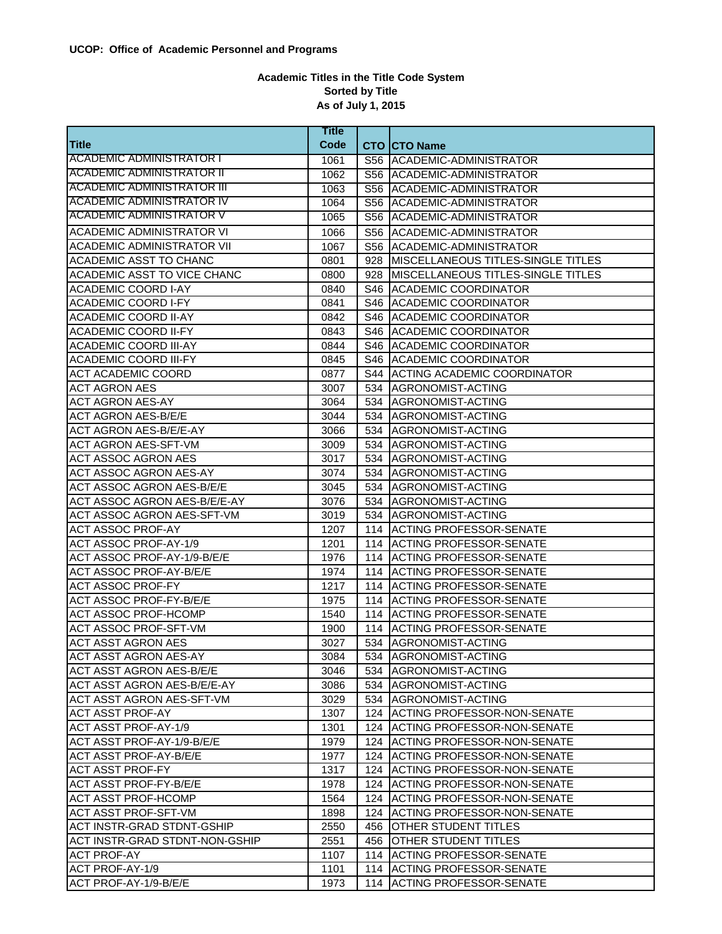## **Academic Titles in the Title Code System Sorted by Title As of July 1, 2015**

|                                   | <b>Title</b> |                                          |
|-----------------------------------|--------------|------------------------------------------|
| Title                             | Code         | <b>CTO CTO Name</b>                      |
| ACADEMIC ADMINISTRATOR I          | 1061         | S56 ACADEMIC-ADMINISTRATOR               |
| <b>ACADEMIC ADMINISTRATOR II</b>  | 1062         | S56 ACADEMIC-ADMINISTRATOR               |
| <b>ACADEMIC ADMINISTRATOR III</b> | 1063         | S56 ACADEMIC-ADMINISTRATOR               |
| <b>ACADEMIC ADMINISTRATOR IV</b>  | 1064         | S56 ACADEMIC-ADMINISTRATOR               |
| <b>ACADEMIC ADMINISTRATOR V</b>   | 1065         | S56 ACADEMIC-ADMINISTRATOR               |
| <b>ACADEMIC ADMINISTRATOR VI</b>  | 1066         | S56 ACADEMIC-ADMINISTRATOR               |
| <b>ACADEMIC ADMINISTRATOR VII</b> | 1067         | S56 ACADEMIC-ADMINISTRATOR               |
| ACADEMIC ASST TO CHANC            | 0801         | 928   MISCELLANEOUS TITLES-SINGLE TITLES |
| ACADEMIC ASST TO VICE CHANC       | 0800         | 928   MISCELLANEOUS TITLES-SINGLE TITLES |
| <b>ACADEMIC COORD I-AY</b>        | 0840         | S46 ACADEMIC COORDINATOR                 |
| <b>ACADEMIC COORD I-FY</b>        | 0841         | S46 ACADEMIC COORDINATOR                 |
| <b>ACADEMIC COORD II-AY</b>       | 0842         | S46 ACADEMIC COORDINATOR                 |
| <b>ACADEMIC COORD II-FY</b>       | 0843         | <b>S46 ACADEMIC COORDINATOR</b>          |
| <b>ACADEMIC COORD III-AY</b>      | 0844         | S46 ACADEMIC COORDINATOR                 |
| <b>ACADEMIC COORD III-FY</b>      | 0845         | S46 ACADEMIC COORDINATOR                 |
| <b>ACT ACADEMIC COORD</b>         | 0877         | S44 ACTING ACADEMIC COORDINATOR          |
| <b>ACT AGRON AES</b>              | 3007         | 534 AGRONOMIST-ACTING                    |
| <b>ACT AGRON AES-AY</b>           | 3064         | 534 AGRONOMIST-ACTING                    |
| <b>ACT AGRON AES-B/E/E</b>        | 3044         | 534 AGRONOMIST-ACTING                    |
| <b>ACT AGRON AES-B/E/E-AY</b>     | 3066         | 534 AGRONOMIST-ACTING                    |
| <b>ACT AGRON AES-SFT-VM</b>       | 3009         | 534 AGRONOMIST-ACTING                    |
| <b>ACT ASSOC AGRON AES</b>        | 3017         | 534 AGRONOMIST-ACTING                    |
| <b>ACT ASSOC AGRON AES-AY</b>     | 3074         | 534 AGRONOMIST-ACTING                    |
| <b>ACT ASSOC AGRON AES-B/E/E</b>  | 3045         | 534 AGRONOMIST-ACTING                    |
| ACT ASSOC AGRON AES-B/E/E-AY      | 3076         | 534 AGRONOMIST-ACTING                    |
| <b>ACT ASSOC AGRON AES-SFT-VM</b> | 3019         | 534 AGRONOMIST-ACTING                    |
| <b>ACT ASSOC PROF-AY</b>          | 1207         | 114 ACTING PROFESSOR-SENATE              |
| ACT ASSOC PROF-AY-1/9             | 1201         | 114 ACTING PROFESSOR-SENATE              |
| ACT ASSOC PROF-AY-1/9-B/E/E       | 1976         | 114 ACTING PROFESSOR-SENATE              |
| <b>ACT ASSOC PROF-AY-B/E/E</b>    | 1974         | 114 ACTING PROFESSOR-SENATE              |
| <b>ACT ASSOC PROF-FY</b>          | 1217         | 114 ACTING PROFESSOR-SENATE              |
| <b>ACT ASSOC PROF-FY-B/E/E</b>    | 1975         | 114 ACTING PROFESSOR-SENATE              |
| <b>ACT ASSOC PROF-HCOMP</b>       | 1540         | 114 ACTING PROFESSOR-SENATE              |
| <b>ACT ASSOC PROF-SFT-VM</b>      | 1900         | 114 ACTING PROFESSOR-SENATE              |
| <b>ACT ASST AGRON AES</b>         | 3027         | 534 AGRONOMIST-ACTING                    |
| ACT ASST AGRON AES-AY             | 3084         | 534 AGRONOMIST-ACTING                    |
| IACT ASST AGRON AES-B/E/E         | 3046         | 534 IAGRONOMIST-ACTING                   |
| ACT ASST AGRON AES-B/E/E-AY       | 3086         | 534 AGRONOMIST-ACTING                    |
| ACT ASST AGRON AES-SFT-VM         | 3029         | 534 AGRONOMIST-ACTING                    |
| <b>ACT ASST PROF-AY</b>           | 1307         | 124 ACTING PROFESSOR-NON-SENATE          |
| <b>ACT ASST PROF-AY-1/9</b>       | 1301         | 124 ACTING PROFESSOR-NON-SENATE          |
| ACT ASST PROF-AY-1/9-B/E/E        | 1979         | 124 ACTING PROFESSOR-NON-SENATE          |
| <b>ACT ASST PROF-AY-B/E/E</b>     | 1977         | 124 ACTING PROFESSOR-NON-SENATE          |
| ACT ASST PROF-FY                  | 1317         | 124 ACTING PROFESSOR-NON-SENATE          |
| ACT ASST PROF-FY-B/E/E            | 1978         | 124 ACTING PROFESSOR-NON-SENATE          |
| ACT ASST PROF-HCOMP               | 1564         | 124 ACTING PROFESSOR-NON-SENATE          |
| <b>ACT ASST PROF-SFT-VM</b>       | 1898         | 124 ACTING PROFESSOR-NON-SENATE          |
| ACT INSTR-GRAD STDNT-GSHIP        | 2550         | 456 OTHER STUDENT TITLES                 |
| ACT INSTR-GRAD STDNT-NON-GSHIP    | 2551         | 456 OTHER STUDENT TITLES                 |
| <b>ACT PROF-AY</b>                | 1107         | 114 ACTING PROFESSOR-SENATE              |
| ACT PROF-AY-1/9                   | 1101         | 114 ACTING PROFESSOR-SENATE              |
| ACT PROF-AY-1/9-B/E/E             | 1973         | 114 ACTING PROFESSOR-SENATE              |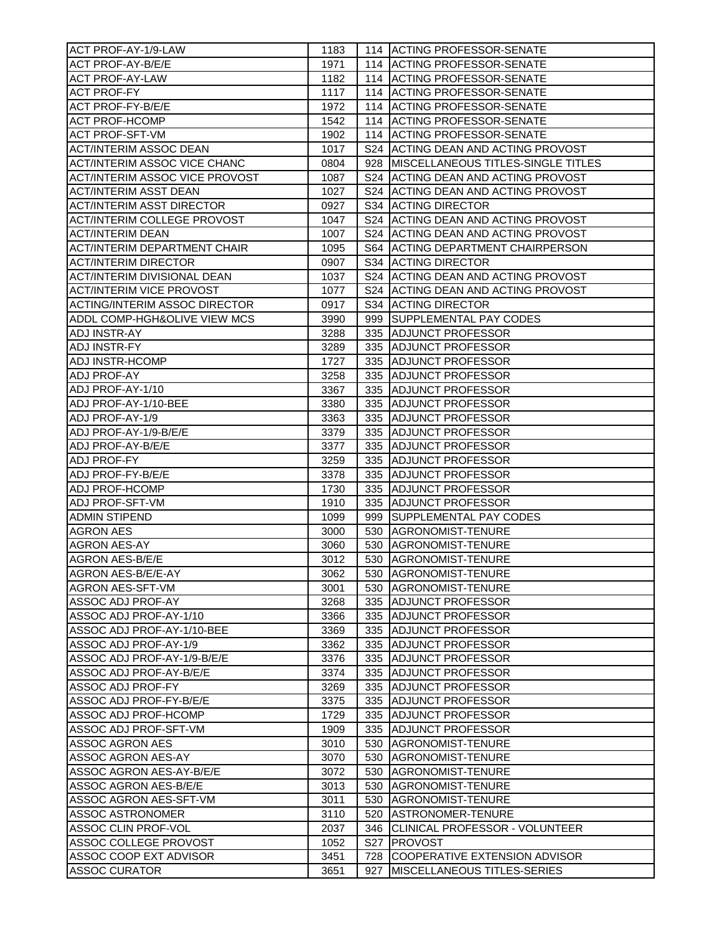| ACT PROF-AY-1/9-LAW                   | 1183 | 114 ACTING PROFESSOR-SENATE               |
|---------------------------------------|------|-------------------------------------------|
| <b>ACT PROF-AY-B/E/E</b>              | 1971 | 114 ACTING PROFESSOR-SENATE               |
| <b>ACT PROF-AY-LAW</b>                | 1182 | 114 ACTING PROFESSOR-SENATE               |
| <b>ACT PROF-FY</b>                    | 1117 | 114 ACTING PROFESSOR-SENATE               |
| <b>ACT PROF-FY-B/E/E</b>              | 1972 | 114 ACTING PROFESSOR-SENATE               |
| <b>ACT PROF-HCOMP</b>                 | 1542 | 114 ACTING PROFESSOR-SENATE               |
| <b>ACT PROF-SFT-VM</b>                | 1902 | 114 ACTING PROFESSOR-SENATE               |
| <b>ACT/INTERIM ASSOC DEAN</b>         | 1017 | S24 ACTING DEAN AND ACTING PROVOST        |
| <b>ACT/INTERIM ASSOC VICE CHANC</b>   | 0804 | 928 MISCELLANEOUS TITLES-SINGLE TITLES    |
| <b>ACT/INTERIM ASSOC VICE PROVOST</b> | 1087 | S24 ACTING DEAN AND ACTING PROVOST        |
| <b>ACT/INTERIM ASST DEAN</b>          | 1027 | S24 ACTING DEAN AND ACTING PROVOST        |
| <b>ACT/INTERIM ASST DIRECTOR</b>      | 0927 | S34 ACTING DIRECTOR                       |
| <b>ACT/INTERIM COLLEGE PROVOST</b>    | 1047 | S24 ACTING DEAN AND ACTING PROVOST        |
| <b>ACT/INTERIM DEAN</b>               | 1007 |                                           |
|                                       |      | S24 ACTING DEAN AND ACTING PROVOST        |
| <b>ACT/INTERIM DEPARTMENT CHAIR</b>   | 1095 | <b>S64 IACTING DEPARTMENT CHAIRPERSON</b> |
| <b>ACT/INTERIM DIRECTOR</b>           | 0907 | S34 ACTING DIRECTOR                       |
| <b>ACT/INTERIM DIVISIONAL DEAN</b>    | 1037 | S24 ACTING DEAN AND ACTING PROVOST        |
| <b>ACT/INTERIM VICE PROVOST</b>       | 1077 | S24 ACTING DEAN AND ACTING PROVOST        |
| <b>ACTING/INTERIM ASSOC DIRECTOR</b>  | 0917 | S34 ACTING DIRECTOR                       |
| ADDL COMP-HGH&OLIVE VIEW MCS          | 3990 | 999 SUPPLEMENTAL PAY CODES                |
| <b>ADJ INSTR-AY</b>                   | 3288 | 335 ADJUNCT PROFESSOR                     |
| <b>ADJ INSTR-FY</b>                   | 3289 | 335 ADJUNCT PROFESSOR                     |
| <b>ADJ INSTR-HCOMP</b>                | 1727 | 335 ADJUNCT PROFESSOR                     |
| <b>ADJ PROF-AY</b>                    | 3258 | 335 ADJUNCT PROFESSOR                     |
| ADJ PROF-AY-1/10                      | 3367 | 335 ADJUNCT PROFESSOR                     |
| ADJ PROF-AY-1/10-BEE                  | 3380 | 335 ADJUNCT PROFESSOR                     |
| ADJ PROF-AY-1/9                       | 3363 | 335 ADJUNCT PROFESSOR                     |
| ADJ PROF-AY-1/9-B/E/E                 | 3379 | 335 ADJUNCT PROFESSOR                     |
| <b>ADJ PROF-AY-B/E/E</b>              | 3377 | 335 ADJUNCT PROFESSOR                     |
| <b>ADJ PROF-FY</b>                    | 3259 | 335 ADJUNCT PROFESSOR                     |
| ADJ PROF-FY-B/E/E                     | 3378 | 335 ADJUNCT PROFESSOR                     |
| <b>ADJ PROF-HCOMP</b>                 | 1730 | 335 ADJUNCT PROFESSOR                     |
| <b>ADJ PROF-SFT-VM</b>                | 1910 | 335 ADJUNCT PROFESSOR                     |
| <b>ADMIN STIPEND</b>                  | 1099 | 999 SUPPLEMENTAL PAY CODES                |
| <b>AGRON AES</b>                      | 3000 | 530 AGRONOMIST-TENURE                     |
| <b>AGRON AES-AY</b>                   | 3060 | 530 AGRONOMIST-TENURE                     |
| <b>AGRON AES-B/E/E</b>                | 3012 | 530 AGRONOMIST-TENURE                     |
| AGRON AES-B/E/E-AY                    | 3062 | 530 AGRONOMIST-TENURE                     |
| <b>AGRON AES-SFT-VM</b>               | 3001 | 530 AGRONOMIST-TENURE                     |
| IASSOC ADJ PROF-AY                    | 3268 | 335 ADJUNCT PROFESSOR                     |
| ASSOC ADJ PROF-AY-1/10                | 3366 | 335 ADJUNCT PROFESSOR                     |
| ASSOC ADJ PROF-AY-1/10-BEE            | 3369 | 335 ADJUNCT PROFESSOR                     |
| ASSOC ADJ PROF-AY-1/9                 | 3362 |                                           |
|                                       |      | 335 ADJUNCT PROFESSOR                     |
| ASSOC ADJ PROF-AY-1/9-B/E/E           | 3376 | 335 ADJUNCT PROFESSOR                     |
| ASSOC ADJ PROF-AY-B/E/E               | 3374 | 335 ADJUNCT PROFESSOR                     |
| ASSOC ADJ PROF-FY                     | 3269 | 335 ADJUNCT PROFESSOR                     |
| ASSOC ADJ PROF-FY-B/E/E               | 3375 | 335 ADJUNCT PROFESSOR                     |
| ASSOC ADJ PROF-HCOMP                  | 1729 | 335 ADJUNCT PROFESSOR                     |
| ASSOC ADJ PROF-SFT-VM                 | 1909 | 335 ADJUNCT PROFESSOR                     |
| ASSOC AGRON AES                       | 3010 | 530 AGRONOMIST-TENURE                     |
| ASSOC AGRON AES-AY                    | 3070 | 530 AGRONOMIST-TENURE                     |
| ASSOC AGRON AES-AY-B/E/E              | 3072 | 530 AGRONOMIST-TENURE                     |
| ASSOC AGRON AES-B/E/E                 | 3013 | 530 AGRONOMIST-TENURE                     |
| ASSOC AGRON AES-SFT-VM                | 3011 | 530 AGRONOMIST-TENURE                     |
| ASSOC ASTRONOMER                      | 3110 | 520 ASTRONOMER-TENURE                     |
| ASSOC CLIN PROF-VOL                   | 2037 | 346 CLINICAL PROFESSOR - VOLUNTEER        |
| ASSOC COLLEGE PROVOST                 | 1052 | S27 <b>PROVOST</b>                        |
| ASSOC COOP EXT ADVISOR                | 3451 | 728 COOPERATIVE EXTENSION ADVISOR         |
| <b>ASSOC CURATOR</b>                  | 3651 | 927 MISCELLANEOUS TITLES-SERIES           |
|                                       |      |                                           |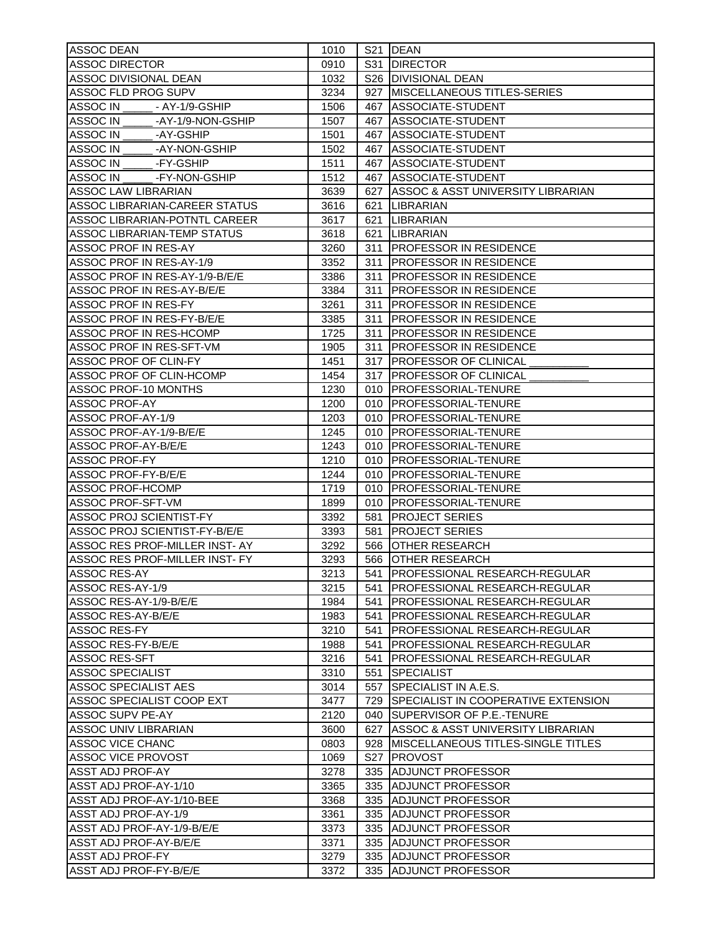| ASSOC DEAN                           | 1010 | S21 DEAN                                |
|--------------------------------------|------|-----------------------------------------|
| <b>ASSOC DIRECTOR</b>                | 0910 | S31 DIRECTOR                            |
| <b>ASSOC DIVISIONAL DEAN</b>         | 1032 | S26 DIVISIONAL DEAN                     |
| ASSOC FLD PROG SUPV                  | 3234 | 927 MISCELLANEOUS TITLES-SERIES         |
| ASSOC IN ______ - AY-1/9-GSHIP       | 1506 | 467 ASSOCIATE-STUDENT                   |
| -AY-1/9-NON-GSHIP<br>ASSOC IN        | 1507 | 467 ASSOCIATE-STUDENT                   |
| ASSOC IN<br>-AY-GSHIP                | 1501 | 467 ASSOCIATE-STUDENT                   |
| ASSOC IN<br>-AY-NON-GSHIP            | 1502 | 467 ASSOCIATE-STUDENT                   |
| -FY-GSHIP<br>ASSOC IN                | 1511 | 467 ASSOCIATE-STUDENT                   |
| ASSOC IN<br>-FY-NON-GSHIP            | 1512 | 467 ASSOCIATE-STUDENT                   |
| <b>ASSOC LAW LIBRARIAN</b>           | 3639 | 627 ASSOC & ASST UNIVERSITY LIBRARIAN   |
| ASSOC LIBRARIAN-CAREER STATUS        | 3616 | 621   LIBRARIAN                         |
|                                      |      |                                         |
| <b>ASSOC LIBRARIAN-POTNTL CAREER</b> | 3617 | 621 LIBRARIAN                           |
| <b>ASSOC LIBRARIAN-TEMP STATUS</b>   | 3618 | 621 LIBRARIAN                           |
| ASSOC PROF IN RES-AY                 | 3260 | 311 PROFESSOR IN RESIDENCE              |
| ASSOC PROF IN RES-AY-1/9             | 3352 | 311 PROFESSOR IN RESIDENCE              |
| ASSOC PROF IN RES-AY-1/9-B/E/E       | 3386 | 311 PROFESSOR IN RESIDENCE              |
| ASSOC PROF IN RES-AY-B/E/E           | 3384 | 311 PROFESSOR IN RESIDENCE              |
| ASSOC PROF IN RES-FY                 | 3261 | 311 PROFESSOR IN RESIDENCE              |
| ASSOC PROF IN RES-FY-B/E/E           | 3385 | 311 PROFESSOR IN RESIDENCE              |
| ASSOC PROF IN RES-HCOMP              | 1725 | 311 PROFESSOR IN RESIDENCE              |
| ASSOC PROF IN RES-SFT-VM             | 1905 | 311 PROFESSOR IN RESIDENCE              |
| ASSOC PROF OF CLIN-FY                | 1451 | 317   PROFESSOR OF CLINICAL             |
| ASSOC PROF OF CLIN-HCOMP             | 1454 | 317   PROFESSOR OF CLINICAL             |
| ASSOC PROF-10 MONTHS                 | 1230 | 010   PROFESSORIAL-TENURE               |
| ASSOC PROF-AY                        | 1200 | 010   PROFESSORIAL-TENURE               |
| ASSOC PROF-AY-1/9                    | 1203 | 010 <b>IPROFESSORIAL-TENURE</b>         |
| ASSOC PROF-AY-1/9-B/E/E              | 1245 | 010   PROFESSORIAL-TENURE               |
| ASSOC PROF-AY-B/E/E                  | 1243 | 010   PROFESSORIAL-TENURE               |
| ASSOC PROF-FY                        | 1210 | 010 <b>IPROFESSORIAL-TENURE</b>         |
| ASSOC PROF-FY-B/E/E                  | 1244 | 010   PROFESSORIAL-TENURE               |
| ASSOC PROF-HCOMP                     | 1719 | 010   PROFESSORIAL-TENURE               |
| ASSOC PROF-SFT-VM                    | 1899 | 010 <b>IPROFESSORIAL-TENURE</b>         |
| ASSOC PROJ SCIENTIST-FY              | 3392 | 581   PROJECT SERIES                    |
| ASSOC PROJ SCIENTIST-FY-B/E/E        | 3393 | 581   PROJECT SERIES                    |
| ASSOC RES PROF-MILLER INST-AY        | 3292 | 566 OTHER RESEARCH                      |
| ASSOC RES PROF-MILLER INST- FY       | 3293 | 566 OTHER RESEARCH                      |
| ASSOC RES-AY                         | 3213 | 541 PROFESSIONAL RESEARCH-REGULAR       |
| ASSOC RES-AY-1/9                     | 3215 | 541 IPROFESSIONAL RESEARCH-REGULAR      |
| <b>ASSOC RES-AY-1/9-B/E/E</b>        | 1984 | 541   PROFESSIONAL RESEARCH-REGULAR     |
| ASSOC RES-AY-B/E/E                   | 1983 | 541   PROFESSIONAL RESEARCH-REGULAR     |
| <b>ASSOC RES-FY</b>                  | 3210 | 541   PROFESSIONAL RESEARCH-REGULAR     |
| ASSOC RES-FY-B/E/E                   | 1988 | 541   PROFESSIONAL RESEARCH-REGULAR     |
| ASSOC RES-SFT                        | 3216 | 541 PROFESSIONAL RESEARCH-REGULAR       |
| <b>ASSOC SPECIALIST</b>              |      |                                         |
|                                      | 3310 | 551 SPECIALIST                          |
| ASSOC SPECIALIST AES                 | 3014 | 557 SPECIALIST IN A.E.S.                |
| IASSOC SPECIALIST COOP EXT           | 3477 | 729 SPECIALIST IN COOPERATIVE EXTENSION |
| IASSOC SUPV PE-AY                    | 2120 | 040 SUPERVISOR OF P.E.-TENURE           |
| IASSOC UNIV LIBRARIAN                | 3600 | 627 ASSOC & ASST UNIVERSITY LIBRARIAN   |
| ASSOC VICE CHANC                     | 0803 | 928 IMISCELLANEOUS TITLES-SINGLE TITLES |
| ASSOC VICE PROVOST                   | 1069 | S27 PROVOST                             |
| ASST ADJ PROF-AY                     | 3278 | 335 ADJUNCT PROFESSOR                   |
| ASST ADJ PROF-AY-1/10                | 3365 | 335 ADJUNCT PROFESSOR                   |
| ASST ADJ PROF-AY-1/10-BEE            | 3368 | 335 ADJUNCT PROFESSOR                   |
| ASST ADJ PROF-AY-1/9                 | 3361 | 335 ADJUNCT PROFESSOR                   |
| ASST ADJ PROF-AY-1/9-B/E/E           | 3373 | 335 ADJUNCT PROFESSOR                   |
| ASST ADJ PROF-AY-B/E/E               | 3371 | 335 ADJUNCT PROFESSOR                   |
| ASST ADJ PROF-FY                     | 3279 | 335 ADJUNCT PROFESSOR                   |
| ASST ADJ PROF-FY-B/E/E               | 3372 | 335 ADJUNCT PROFESSOR                   |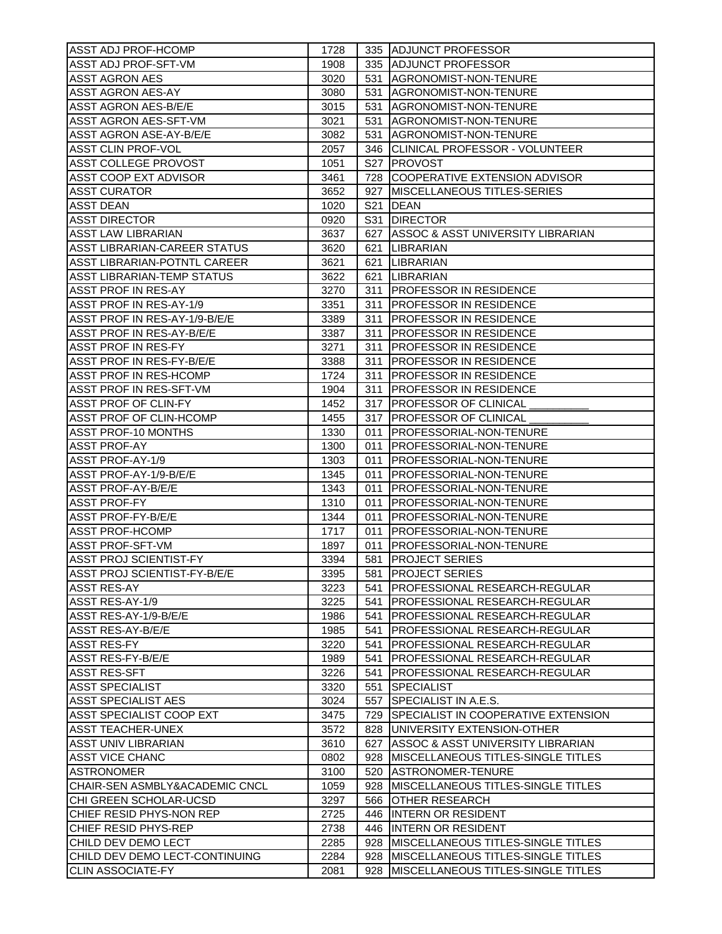| ASST ADJ PROF-HCOMP                                   | 1728 |                 | 335 ADJUNCT PROFESSOR                    |
|-------------------------------------------------------|------|-----------------|------------------------------------------|
| ASST ADJ PROF-SFT-VM                                  | 1908 |                 | 335 ADJUNCT PROFESSOR                    |
| <b>ASST AGRON AES</b>                                 | 3020 |                 | 531 AGRONOMIST-NON-TENURE                |
| <b>ASST AGRON AES-AY</b>                              | 3080 |                 | 531 AGRONOMIST-NON-TENURE                |
| <b>ASST AGRON AES-B/E/E</b>                           | 3015 |                 | 531 AGRONOMIST-NON-TENURE                |
| ASST AGRON AES-SFT-VM                                 | 3021 |                 | 531 AGRONOMIST-NON-TENURE                |
| ASST AGRON ASE-AY-B/E/E                               | 3082 |                 | 531   AGRONOMIST-NON-TENURE              |
| <b>ASST CLIN PROF-VOL</b>                             | 2057 |                 | 346 CLINICAL PROFESSOR - VOLUNTEER       |
| <b>ASST COLLEGE PROVOST</b>                           | 1051 |                 | S27 PROVOST                              |
| <b>ASST COOP EXT ADVISOR</b>                          | 3461 |                 | 728 COOPERATIVE EXTENSION ADVISOR        |
| <b>ASST CURATOR</b>                                   | 3652 |                 | 927 MISCELLANEOUS TITLES-SERIES          |
| <b>ASST DEAN</b>                                      | 1020 | S <sub>21</sub> | <b>DEAN</b>                              |
| <b>ASST DIRECTOR</b>                                  | 0920 |                 | S31 DIRECTOR                             |
| <b>ASST LAW LIBRARIAN</b>                             | 3637 |                 | 627 ASSOC & ASST UNIVERSITY LIBRARIAN    |
| ASST LIBRARIAN-CAREER STATUS                          | 3620 |                 | 621 ILIBRARIAN                           |
| ASST LIBRARIAN-POTNTL CAREER                          | 3621 |                 | 621   LIBRARIAN                          |
| <b>ASST LIBRARIAN-TEMP STATUS</b>                     | 3622 |                 | 621   LIBRARIAN                          |
|                                                       |      |                 |                                          |
| <b>ASST PROF IN RES-AY</b><br>ASST PROF IN RES-AY-1/9 | 3270 |                 | 311 PROFESSOR IN RESIDENCE               |
|                                                       | 3351 |                 | 311 PROFESSOR IN RESIDENCE               |
| ASST PROF IN RES-AY-1/9-B/E/E                         | 3389 |                 | 311 PROFESSOR IN RESIDENCE               |
| ASST PROF IN RES-AY-B/E/E                             | 3387 |                 | 311 PROFESSOR IN RESIDENCE               |
| <b>ASST PROF IN RES-FY</b>                            | 3271 |                 | 311 PROFESSOR IN RESIDENCE               |
| ASST PROF IN RES-FY-B/E/E                             | 3388 |                 | 311 PROFESSOR IN RESIDENCE               |
| ASST PROF IN RES-HCOMP                                | 1724 |                 | 311 PROFESSOR IN RESIDENCE               |
| ASST PROF IN RES-SFT-VM                               | 1904 |                 | 311 PROFESSOR IN RESIDENCE               |
| ASST PROF OF CLIN-FY                                  | 1452 |                 | 317 <b>IPROFESSOR OF CLINICAL</b>        |
| ASST PROF OF CLIN-HCOMP                               | 1455 |                 | 317 PROFESSOR OF CLINICAL                |
| <b>ASST PROF-10 MONTHS</b>                            | 1330 |                 | 011   PROFESSORIAL-NON-TENURE            |
| <b>ASST PROF-AY</b>                                   | 1300 |                 | 011   PROFESSORIAL-NON-TENURE            |
| ASST PROF-AY-1/9                                      | 1303 |                 | 011   PROFESSORIAL-NON-TENURE            |
| ASST PROF-AY-1/9-B/E/E                                | 1345 |                 | 011   PROFESSORIAL-NON-TENURE            |
| <b>ASST PROF-AY-B/E/E</b>                             | 1343 |                 | 011   PROFESSORIAL-NON-TENURE            |
| <b>ASST PROF-FY</b>                                   | 1310 |                 | 011   PROFESSORIAL-NON-TENURE            |
| <b>ASST PROF-FY-B/E/E</b>                             | 1344 |                 | 011 PROFESSORIAL-NON-TENURE              |
| <b>ASST PROF-HCOMP</b>                                | 1717 |                 | 011   PROFESSORIAL-NON-TENURE            |
| <b>ASST PROF-SFT-VM</b>                               | 1897 |                 | 011   PROFESSORIAL-NON-TENURE            |
| <b>ASST PROJ SCIENTIST-FY</b>                         | 3394 |                 | 581   PROJECT SERIES                     |
| ASST PROJ SCIENTIST-FY-B/E/E                          | 3395 |                 | 581 PROJECT SERIES                       |
| ASST RES-AY                                           | 3223 |                 | 541   PROFESSIONAL RESEARCH-REGULAR      |
| ASST RES-AY-1/9                                       | 3225 |                 | 541 PROFESSIONAL RESEARCH-REGULAR        |
| ASST RES-AY-1/9-B/E/E                                 | 1986 |                 | 541   PROFESSIONAL RESEARCH-REGULAR      |
| <b>ASST RES-AY-B/E/E</b>                              | 1985 |                 | 541 PROFESSIONAL RESEARCH-REGULAR        |
| <b>ASST RES-FY</b>                                    | 3220 |                 | 541   PROFESSIONAL RESEARCH-REGULAR      |
| ASST RES-FY-B/E/E                                     | 1989 |                 | 541 PROFESSIONAL RESEARCH-REGULAR        |
| <b>ASST RES-SFT</b>                                   | 3226 |                 | 541   PROFESSIONAL RESEARCH-REGULAR      |
| <b>ASST SPECIALIST</b>                                | 3320 |                 | 551 SPECIALIST                           |
| <b>ASST SPECIALIST AES</b>                            | 3024 |                 | 557 SPECIALIST IN A.E.S.                 |
| ASST SPECIALIST COOP EXT                              | 3475 |                 | 729 ISPECIALIST IN COOPERATIVE EXTENSION |
| <b>ASST TEACHER-UNEX</b>                              | 3572 |                 | 828 UNIVERSITY EXTENSION-OTHER           |
| <b>ASST UNIV LIBRARIAN</b>                            | 3610 |                 | 627 ASSOC & ASST UNIVERSITY LIBRARIAN    |
| <b>ASST VICE CHANC</b>                                | 0802 |                 | 928   MISCELLANEOUS TITLES-SINGLE TITLES |
| <b>ASTRONOMER</b>                                     | 3100 |                 | 520 ASTRONOMER-TENURE                    |
| CHAIR-SEN ASMBLY&ACADEMIC CNCL                        | 1059 |                 | 928   MISCELLANEOUS TITLES-SINGLE TITLES |
| CHI GREEN SCHOLAR-UCSD                                | 3297 |                 | 566 OTHER RESEARCH                       |
| CHIEF RESID PHYS-NON REP                              | 2725 |                 | 446 INTERN OR RESIDENT                   |
| CHIEF RESID PHYS-REP                                  | 2738 |                 | 446 INTERN OR RESIDENT                   |
| CHILD DEV DEMO LECT                                   | 2285 |                 | 928   MISCELLANEOUS TITLES-SINGLE TITLES |
| CHILD DEV DEMO LECT-CONTINUING                        | 2284 |                 | 928   MISCELLANEOUS TITLES-SINGLE TITLES |
|                                                       |      |                 | 928   MISCELLANEOUS TITLES-SINGLE TITLES |
| <b>CLIN ASSOCIATE-FY</b>                              | 2081 |                 |                                          |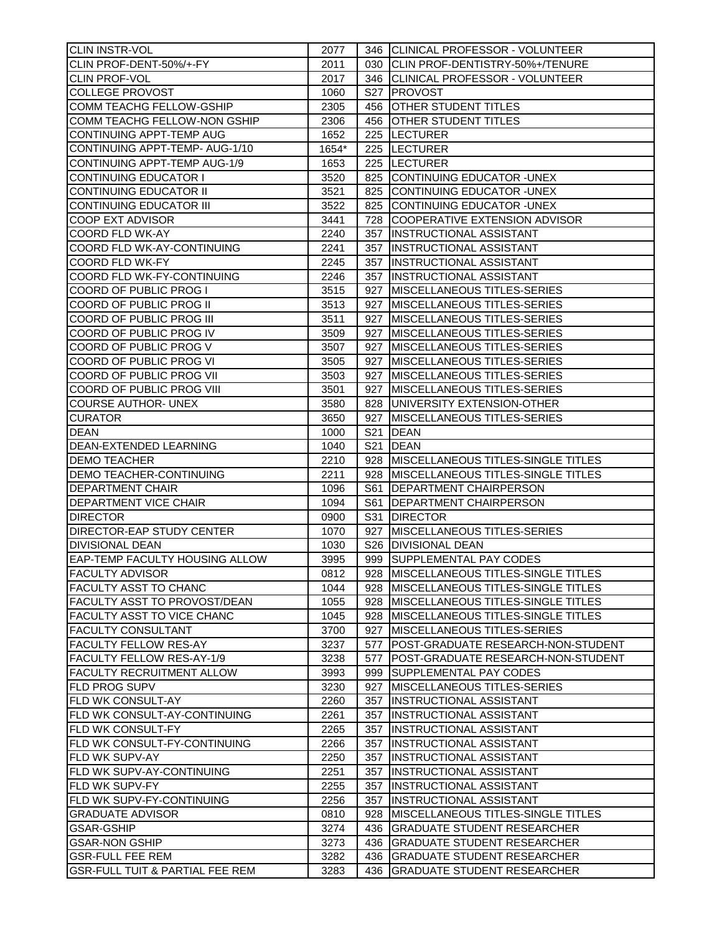| CLIN INSTR-VOL                             | 2077         |                 | 346 CLINICAL PROFESSOR - VOLUNTEER        |
|--------------------------------------------|--------------|-----------------|-------------------------------------------|
| CLIN PROF-DENT-50%/+-FY                    | 2011         |                 | 030 CLIN PROF-DENTISTRY-50%+/TENURE       |
| <b>CLIN PROF-VOL</b>                       | 2017         |                 | 346 CLINICAL PROFESSOR - VOLUNTEER        |
| <b>COLLEGE PROVOST</b>                     | 1060         |                 | S27 PROVOST                               |
| <b>COMM TEACHG FELLOW-GSHIP</b>            | 2305         |                 | 456 OTHER STUDENT TITLES                  |
| COMM TEACHG FELLOW-NON GSHIP               | 2306         |                 | 456 OTHER STUDENT TITLES                  |
| CONTINUING APPT-TEMP AUG                   | 1652         |                 | 225  LECTURER                             |
| CONTINUING APPT-TEMP- AUG-1/10             | 1654*        |                 | 225  LECTURER                             |
| CONTINUING APPT-TEMP AUG-1/9               | 1653         |                 | 225  LECTURER                             |
| <b>CONTINUING EDUCATOR I</b>               | 3520         |                 | 825 CONTINUING EDUCATOR - UNEX            |
| <b>CONTINUING EDUCATOR II</b>              | 3521         | 825             | CONTINUING EDUCATOR - UNEX                |
| <b>CONTINUING EDUCATOR III</b>             | 3522         | 825             | CONTINUING EDUCATOR - UNEX                |
|                                            |              |                 |                                           |
| <b>COOP EXT ADVISOR</b>                    | 3441         |                 | 728 COOPERATIVE EXTENSION ADVISOR         |
| <b>COORD FLD WK-AY</b>                     | 2240         |                 | 357 INSTRUCTIONAL ASSISTANT               |
| COORD FLD WK-AY-CONTINUING                 | 2241         | 357             | <b>INSTRUCTIONAL ASSISTANT</b>            |
| <b>COORD FLD WK-FY</b>                     | 2245         | 357             | <b>INSTRUCTIONAL ASSISTANT</b>            |
| COORD FLD WK-FY-CONTINUING                 | 2246         | 357             | <b>INSTRUCTIONAL ASSISTANT</b>            |
| COORD OF PUBLIC PROG I                     | 3515         | 927             | <b>IMISCELLANEOUS TITLES-SERIES</b>       |
| COORD OF PUBLIC PROG II                    | 3513         | 927             | <b>IMISCELLANEOUS TITLES-SERIES</b>       |
| COORD OF PUBLIC PROG III                   | 3511         | 927             | <b>IMISCELLANEOUS TITLES-SERIES</b>       |
| COORD OF PUBLIC PROG IV                    | 3509         | 927             | MISCELLANEOUS TITLES-SERIES               |
| COORD OF PUBLIC PROG V                     | 3507         | 927             | <b>MISCELLANEOUS TITLES-SERIES</b>        |
| COORD OF PUBLIC PROG VI                    | 3505         | 927             | <b>MISCELLANEOUS TITLES-SERIES</b>        |
| <b>COORD OF PUBLIC PROG VII</b>            | 3503         | 927             | MISCELLANEOUS TITLES-SERIES               |
| <b>COORD OF PUBLIC PROG VIII</b>           | 3501         | 927             | MISCELLANEOUS TITLES-SERIES               |
| <b>COURSE AUTHOR- UNEX</b>                 | 3580         | 828             | UNIVERSITY EXTENSION-OTHER                |
| <b>CURATOR</b>                             | 3650         | 927             | <b>MISCELLANEOUS TITLES-SERIES</b>        |
| <b>DEAN</b>                                | 1000         | S <sub>21</sub> | <b>DEAN</b>                               |
| DEAN-EXTENDED LEARNING                     | 1040         | S <sub>21</sub> | <b>DEAN</b>                               |
| <b>DEMO TEACHER</b>                        | 2210         |                 | 928   MISCELLANEOUS TITLES-SINGLE TITLES  |
| <b>DEMO TEACHER-CONTINUING</b>             | 2211         |                 | 928 MISCELLANEOUS TITLES-SINGLE TITLES    |
| <b>DEPARTMENT CHAIR</b>                    | 1096         | S61             | DEPARTMENT CHAIRPERSON                    |
| <b>DEPARTMENT VICE CHAIR</b>               | 1094         | S61             | DEPARTMENT CHAIRPERSON                    |
| <b>DIRECTOR</b>                            | 0900         | S31             | <b>DIRECTOR</b>                           |
| DIRECTOR-EAP STUDY CENTER                  | 1070         | 927             | MISCELLANEOUS TITLES-SERIES               |
| <b>DIVISIONAL DEAN</b>                     | 1030         |                 | S26 DIVISIONAL DEAN                       |
| EAP-TEMP FACULTY HOUSING ALLOW             | 3995         |                 | 999 SUPPLEMENTAL PAY CODES                |
| <b>FACULTY ADVISOR</b>                     | 0812         |                 | 928 MISCELLANEOUS TITLES-SINGLE TITLES    |
| FACULTY ASST TO CHANC                      | 1044         |                 | 928 IMISCELLANEOUS TITLES-SINGLE TITLES   |
| FACULTY ASST TO PROVOST/DEAN               |              |                 | 928 IMISCELLANEOUS TITLES-SINGLE TITLES   |
|                                            | 1055<br>1045 |                 |                                           |
| FACULTY ASST TO VICE CHANC                 |              |                 | 928   MISCELLANEOUS TITLES-SINGLE TITLES  |
| <b>FACULTY CONSULTANT</b>                  | 3700         | 927             | <b>MISCELLANEOUS TITLES-SERIES</b>        |
| <b>FACULTY FELLOW RES-AY</b>               | 3237         | 577             | POST-GRADUATE RESEARCH-NON-STUDENT        |
| FACULTY FELLOW RES-AY-1/9                  | 3238         | 577             | POST-GRADUATE RESEARCH-NON-STUDENT        |
| <b>FACULTY RECRUITMENT ALLOW</b>           | 3993         |                 | 999 SUPPLEMENTAL PAY CODES                |
| <b>FLD PROG SUPV</b>                       | 3230         | 927             | <b>MISCELLANEOUS TITLES-SERIES</b>        |
| <b>FLD WK CONSULT-AY</b>                   | 2260         | 357             | <b>INSTRUCTIONAL ASSISTANT</b>            |
| FLD WK CONSULT-AY-CONTINUING               | 2261         | 357             | <b>INSTRUCTIONAL ASSISTANT</b>            |
| <b>FLD WK CONSULT-FY</b>                   | 2265         | 357             | <b>INSTRUCTIONAL ASSISTANT</b>            |
| IFLD WK CONSULT-FY-CONTINUING              | 2266         | 357             | <b>INSTRUCTIONAL ASSISTANT</b>            |
| <b>FLD WK SUPV-AY</b>                      | 2250         | 357             | <b>INSTRUCTIONAL ASSISTANT</b>            |
| IFLD WK SUPV-AY-CONTINUING                 | 2251         | 357             | INSTRUCTIONAL ASSISTANT                   |
| <b>FLD WK SUPV-FY</b>                      | 2255         | 357             | INSTRUCTIONAL ASSISTANT                   |
| FLD WK SUPV-FY-CONTINUING                  | 2256         | 357             | INSTRUCTIONAL ASSISTANT                   |
| <b>GRADUATE ADVISOR</b>                    | 0810         | 928             | <b>MISCELLANEOUS TITLES-SINGLE TITLES</b> |
| <b>GSAR-GSHIP</b>                          | 3274         | 436             | <b>GRADUATE STUDENT RESEARCHER</b>        |
| <b>GSAR-NON GSHIP</b>                      | 3273         | 436             | <b>GRADUATE STUDENT RESEARCHER</b>        |
| <b>GSR-FULL FEE REM</b>                    | 3282         |                 | 436 GRADUATE STUDENT RESEARCHER           |
| <b>GSR-FULL TUIT &amp; PARTIAL FEE REM</b> | 3283         | 436             | <b>GRADUATE STUDENT RESEARCHER</b>        |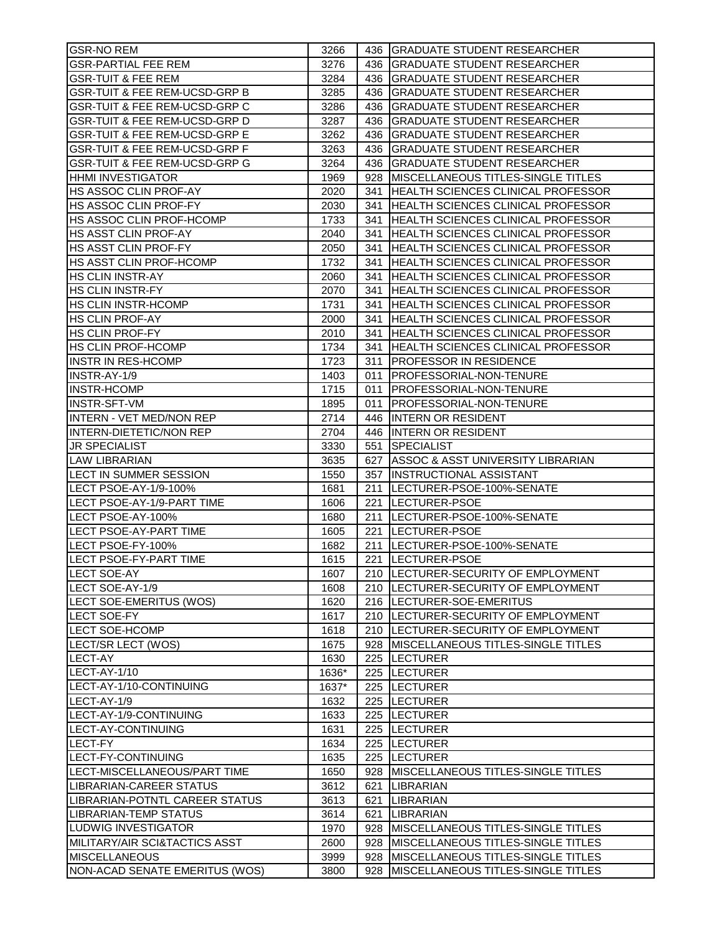| <b>GSR-NO REM</b>                        | 3266  | 436 GRADUATE STUDENT RESEARCHER                  |
|------------------------------------------|-------|--------------------------------------------------|
| <b>GSR-PARTIAL FEE REM</b>               | 3276  | 436 GRADUATE STUDENT RESEARCHER                  |
| <b>GSR-TUIT &amp; FEE REM</b>            | 3284  | 436 GRADUATE STUDENT RESEARCHER                  |
| <b>GSR-TUIT &amp; FEE REM-UCSD-GRP B</b> | 3285  | 436<br><b>GRADUATE STUDENT RESEARCHER</b>        |
| <b>GSR-TUIT &amp; FEE REM-UCSD-GRP C</b> | 3286  | 436<br><b>GRADUATE STUDENT RESEARCHER</b>        |
| <b>GSR-TUIT &amp; FEE REM-UCSD-GRP D</b> | 3287  | 436<br><b>GRADUATE STUDENT RESEARCHER</b>        |
| <b>GSR-TUIT &amp; FEE REM-UCSD-GRP E</b> | 3262  | 436<br><b>GRADUATE STUDENT RESEARCHER</b>        |
| <b>GSR-TUIT &amp; FEE REM-UCSD-GRP F</b> | 3263  | 436<br><b>GRADUATE STUDENT RESEARCHER</b>        |
| <b>GSR-TUIT &amp; FEE REM-UCSD-GRP G</b> | 3264  | 436<br><b>GRADUATE STUDENT RESEARCHER</b>        |
|                                          |       |                                                  |
| <b>HHMI INVESTIGATOR</b>                 | 1969  | 928   MISCELLANEOUS TITLES-SINGLE TITLES         |
| <b>HS ASSOC CLIN PROF-AY</b>             | 2020  | 341<br>HEALTH SCIENCES CLINICAL PROFESSOR        |
| <b>HS ASSOC CLIN PROF-FY</b>             | 2030  | 341   HEALTH SCIENCES CLINICAL PROFESSOR         |
| <b>HS ASSOC CLIN PROF-HCOMP</b>          | 1733  | 341   HEALTH SCIENCES CLINICAL PROFESSOR         |
| <b>HS ASST CLIN PROF-AY</b>              | 2040  | 341   HEALTH SCIENCES CLINICAL PROFESSOR         |
| HS ASST CLIN PROF-FY                     | 2050  | 341   HEALTH SCIENCES CLINICAL PROFESSOR         |
| <b>HS ASST CLIN PROF-HCOMP</b>           | 1732  | 341   HEALTH SCIENCES CLINICAL PROFESSOR         |
| <b>HS CLIN INSTR-AY</b>                  | 2060  | 341 HEALTH SCIENCES CLINICAL PROFESSOR           |
| <b>HS CLIN INSTR-FY</b>                  | 2070  | 341   HEALTH SCIENCES CLINICAL PROFESSOR         |
| <b>HS CLIN INSTR-HCOMP</b>               | 1731  | 341<br><b>HEALTH SCIENCES CLINICAL PROFESSOR</b> |
| <b>HS CLIN PROF-AY</b>                   | 2000  | 341 HEALTH SCIENCES CLINICAL PROFESSOR           |
| <b>HS CLIN PROF-FY</b>                   | 2010  | 341   HEALTH SCIENCES CLINICAL PROFESSOR         |
| HS CLIN PROF-HCOMP                       | 1734  | 341   HEALTH SCIENCES CLINICAL PROFESSOR         |
| INSTR IN RES-HCOMP                       | 1723  | 311   PROFESSOR IN RESIDENCE                     |
| INSTR-AY-1/9                             | 1403  | 011   PROFESSORIAL-NON-TENURE                    |
| <b>INSTR-HCOMP</b>                       | 1715  | 011   PROFESSORIAL-NON-TENURE                    |
| <b>INSTR-SFT-VM</b>                      | 1895  | 011<br><b>PROFESSORIAL-NON-TENURE</b>            |
| <b>INTERN - VET MED/NON REP</b>          | 2714  | 446 INTERN OR RESIDENT                           |
| <b>INTERN-DIETETIC/NON REP</b>           | 2704  | 446 INTERN OR RESIDENT                           |
| <b>JR SPECIALIST</b>                     | 3330  | 551 SPECIALIST                                   |
|                                          |       |                                                  |
| <b>LAW LIBRARIAN</b>                     | 3635  | 627 ASSOC & ASST UNIVERSITY LIBRARIAN            |
| LECT IN SUMMER SESSION                   | 1550  | 357  INSTRUCTIONAL ASSISTANT                     |
| LECT PSOE-AY-1/9-100%                    | 1681  | 211  LECTURER-PSOE-100%-SENATE                   |
| LECT PSOE-AY-1/9-PART TIME               | 1606  | 221 ILECTURER-PSOE                               |
| LECT PSOE-AY-100%                        | 1680  | 211  LECTURER-PSOE-100%-SENATE                   |
| <b>LECT PSOE-AY-PART TIME</b>            | 1605  | 221  LECTURER-PSOE                               |
| LECT PSOE-FY-100%                        | 1682  | 211  LECTURER-PSOE-100%-SENATE                   |
| <b>LECT PSOE-FY-PART TIME</b>            | 1615  | 221  LECTURER-PSOE                               |
| <b>LECT SOE-AY</b>                       | 1607  | 210 LECTURER-SECURITY OF EMPLOYMENT              |
| LECT SOE-AY-1/9                          | 1608  | 210  LECTURER-SECURITY OF EMPLOYMENT             |
| LECT SOE-EMERITUS (WOS)                  | 1620  | 216  LECTURER-SOE-EMERITUS                       |
| <b>LECT SOE-FY</b>                       | 1617  | 210  LECTURER-SECURITY OF EMPLOYMENT             |
| <b>LECT SOE-HCOMP</b>                    | 1618  | 210  LECTURER-SECURITY OF EMPLOYMENT             |
| LECT/SR LECT (WOS)                       | 1675  | 928 IMISCELLANEOUS TITLES-SINGLE TITLES          |
| <b>LECT-AY</b>                           | 1630  | 225  LECTURER                                    |
| LECT-AY-1/10                             | 1636* | 225  LECTURER                                    |
| LECT-AY-1/10-CONTINUING                  | 1637* | 225  LECTURER                                    |
| LECT-AY-1/9                              | 1632  | 225 ILECTURER                                    |
| LECT-AY-1/9-CONTINUING                   | 1633  | 225 ILECTURER                                    |
| <b>ILECT-AY-CONTINUING</b>               | 1631  | 225 ILECTURER                                    |
| LECT-FY                                  | 1634  | 225 ILECTURER                                    |
| LECT-FY-CONTINUING                       | 1635  | 225  LECTURER                                    |
| <b>ILECT-MISCELLANEOUS/PART TIME</b>     | 1650  | 928 IMISCELLANEOUS TITLES-SINGLE TITLES          |
| LIBRARIAN-CAREER STATUS                  | 3612  | 621<br>LIBRARIAN                                 |
|                                          |       |                                                  |
| LIBRARIAN-POTNTL CAREER STATUS           | 3613  | <b>LIBRARIAN</b><br>621                          |
| LIBRARIAN-TEMP STATUS                    | 3614  | <b>LIBRARIAN</b><br>621                          |
| LUDWIG INVESTIGATOR                      | 1970  | IMISCELLANEOUS TITLES-SINGLE TITLES<br>928       |
| IMILITARY/AIR SCI&TACTICS ASST           | 2600  | MISCELLANEOUS TITLES-SINGLE TITLES<br>928        |
| <b>MISCELLANEOUS</b>                     | 3999  | MISCELLANEOUS TITLES-SINGLE TITLES<br>928        |
| NON-ACAD SENATE EMERITUS (WOS)           | 3800  | MISCELLANEOUS TITLES-SINGLE TITLES<br>928        |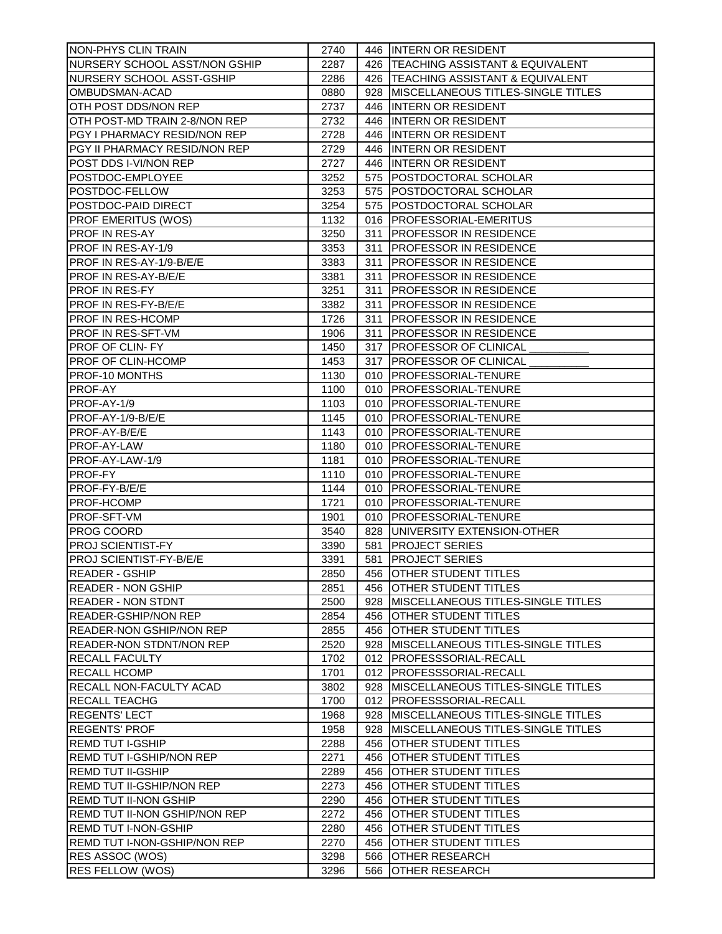| NON-PHYS CLIN TRAIN                  | 2740 |     | 446 INTERN OR RESIDENT                   |
|--------------------------------------|------|-----|------------------------------------------|
| NURSERY SCHOOL ASST/NON GSHIP        | 2287 |     | 426   TEACHING ASSISTANT & EQUIVALENT    |
| NURSERY SCHOOL ASST-GSHIP            | 2286 |     | 426   TEACHING ASSISTANT & EQUIVALENT    |
| OMBUDSMAN-ACAD                       | 0880 |     | 928   MISCELLANEOUS TITLES-SINGLE TITLES |
| OTH POST DDS/NON REP                 | 2737 |     | 446 INTERN OR RESIDENT                   |
| OTH POST-MD TRAIN 2-8/NON REP        | 2732 |     | 446 INTERN OR RESIDENT                   |
| PGY I PHARMACY RESID/NON REP         | 2728 |     | 446 INTERN OR RESIDENT                   |
| PGY II PHARMACY RESID/NON REP        | 2729 |     | 446 INTERN OR RESIDENT                   |
| POST DDS I-VI/NON REP                | 2727 |     | 446 INTERN OR RESIDENT                   |
| POSTDOC-EMPLOYEE                     | 3252 |     | 575 POSTDOCTORAL SCHOLAR                 |
|                                      |      |     |                                          |
| POSTDOC-FELLOW                       | 3253 |     | 575 POSTDOCTORAL SCHOLAR                 |
| POSTDOC-PAID DIRECT                  | 3254 |     | 575 POSTDOCTORAL SCHOLAR                 |
| <b>PROF EMERITUS (WOS)</b>           | 1132 |     | 016 PROFESSORIAL-EMERITUS                |
| <b>PROF IN RES-AY</b>                | 3250 |     | 311 PROFESSOR IN RESIDENCE               |
| PROF IN RES-AY-1/9                   | 3353 | 311 | <b>PROFESSOR IN RESIDENCE</b>            |
| PROF IN RES-AY-1/9-B/E/E             | 3383 | 311 | <b>PROFESSOR IN RESIDENCE</b>            |
| PROF IN RES-AY-B/E/E                 | 3381 | 311 | <b>PROFESSOR IN RESIDENCE</b>            |
| <b>PROF IN RES-FY</b>                | 3251 | 311 | <b>PROFESSOR IN RESIDENCE</b>            |
| <b>PROF IN RES-FY-B/E/E</b>          | 3382 | 311 | <b>PROFESSOR IN RESIDENCE</b>            |
| <b>PROF IN RES-HCOMP</b>             | 1726 | 311 | <b>PROFESSOR IN RESIDENCE</b>            |
| <b>PROF IN RES-SFT-VM</b>            | 1906 | 311 | <b>PROFESSOR IN RESIDENCE</b>            |
| <b>PROF OF CLIN-FY</b>               | 1450 |     | 317 PROFESSOR OF CLINICAL                |
| <b>PROF OF CLIN-HCOMP</b>            | 1453 |     | 317 PROFESSOR OF CLINICAL                |
| PROF-10 MONTHS                       | 1130 |     | 010 PROFESSORIAL-TENURE                  |
| PROF-AY                              | 1100 |     | 010 PROFESSORIAL-TENURE                  |
| PROF-AY-1/9                          | 1103 |     | 010   PROFESSORIAL-TENURE                |
| PROF-AY-1/9-B/E/E                    | 1145 |     | 010 PROFESSORIAL-TENURE                  |
| PROF-AY-B/E/E                        | 1143 |     | 010 PROFESSORIAL-TENURE                  |
| PROF-AY-LAW                          | 1180 |     | 010   PROFESSORIAL-TENURE                |
| PROF-AY-LAW-1/9                      | 1181 |     | 010   PROFESSORIAL-TENURE                |
| <b>PROF-FY</b>                       | 1110 |     | 010 PROFESSORIAL-TENURE                  |
| PROF-FY-B/E/E                        | 1144 |     | 010 PROFESSORIAL-TENURE                  |
| PROF-HCOMP                           | 1721 |     | 010 PROFESSORIAL-TENURE                  |
| <b>PROF-SFT-VM</b>                   | 1901 |     | 010 PROFESSORIAL-TENURE                  |
| PROG COORD                           | 3540 |     | 828 UNIVERSITY EXTENSION-OTHER           |
| PROJ SCIENTIST-FY                    | 3390 |     | 581 PROJECT SERIES                       |
| PROJ SCIENTIST-FY-B/E/E              | 3391 | 581 | <b>PROJECT SERIES</b>                    |
| READER - GSHIP                       | 2850 |     | 456 OTHER STUDENT TITLES                 |
|                                      |      |     |                                          |
| READER - NON GSHIP                   | 2851 |     | 456 OTHER STUDENT TITLES                 |
| <b>READER - NON STDNT</b>            | 2500 |     | 928   MISCELLANEOUS TITLES-SINGLE TITLES |
| READER-GSHIP/NON REP                 | 2854 |     | 456 OTHER STUDENT TITLES                 |
| <b>READER-NON GSHIP/NON REP</b>      | 2855 |     | 456 OTHER STUDENT TITLES                 |
| <b>READER-NON STDNT/NON REP</b>      | 2520 |     | 928   MISCELLANEOUS TITLES-SINGLE TITLES |
| <b>RECALL FACULTY</b>                | 1702 |     | 012   PROFESSSORIAL-RECALL               |
| <b>RECALL HCOMP</b>                  | 1701 |     | 012   PROFESSSORIAL-RECALL               |
| <b>RECALL NON-FACULTY ACAD</b>       | 3802 |     | 928   MISCELLANEOUS TITLES-SINGLE TITLES |
| <b>RECALL TEACHG</b>                 | 1700 |     | 012   PROFESSSORIAL-RECALL               |
| <b>REGENTS' LECT</b>                 | 1968 |     | 928   MISCELLANEOUS TITLES-SINGLE TITLES |
| <b>REGENTS' PROF</b>                 | 1958 |     | 928 IMISCELLANEOUS TITLES-SINGLE TITLES  |
| REMD TUT I-GSHIP                     | 2288 |     | 456 OTHER STUDENT TITLES                 |
| <b>REMD TUT I-GSHIP/NON REP</b>      | 2271 |     | 456 OTHER STUDENT TITLES                 |
| <b>REMD TUT II-GSHIP</b>             | 2289 |     | 456 OTHER STUDENT TITLES                 |
| <b>REMD TUT II-GSHIP/NON REP</b>     | 2273 |     | 456 OTHER STUDENT TITLES                 |
| <b>REMD TUT II-NON GSHIP</b>         | 2290 |     | 456 OTHER STUDENT TITLES                 |
| <b>REMD TUT II-NON GSHIP/NON REP</b> | 2272 |     | 456 OTHER STUDENT TITLES                 |
| <b>REMD TUT I-NON-GSHIP</b>          | 2280 |     | 456 OTHER STUDENT TITLES                 |
| REMD TUT I-NON-GSHIP/NON REP         | 2270 |     | 456 OTHER STUDENT TITLES                 |
| RES ASSOC (WOS)                      | 3298 |     | 566 OTHER RESEARCH                       |
| <b>RES FELLOW (WOS)</b>              | 3296 |     | 566 OTHER RESEARCH                       |
|                                      |      |     |                                          |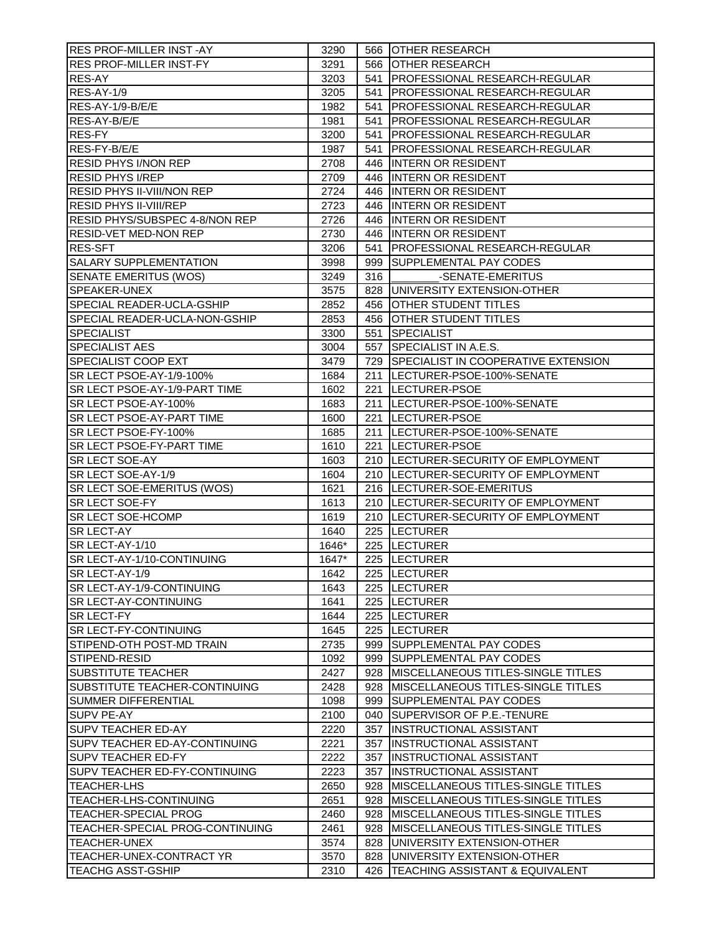| <b>RES PROF-MILLER INST -AY</b>   | 3290  |     | 566 OTHER RESEARCH                       |
|-----------------------------------|-------|-----|------------------------------------------|
| <b>RES PROF-MILLER INST-FY</b>    | 3291  |     | 566 OTHER RESEARCH                       |
| RES-AY                            | 3203  |     | 541   PROFESSIONAL RESEARCH-REGULAR      |
| RES-AY-1/9                        | 3205  |     | 541   PROFESSIONAL RESEARCH-REGULAR      |
| RES-AY-1/9-B/E/E                  | 1982  |     | 541   PROFESSIONAL RESEARCH-REGULAR      |
| RES-AY-B/E/E                      | 1981  | 541 | <b>PROFESSIONAL RESEARCH-REGULAR</b>     |
| RES-FY                            | 3200  |     | 541   PROFESSIONAL RESEARCH-REGULAR      |
| RES-FY-B/E/E                      | 1987  | 541 | <b>PROFESSIONAL RESEARCH-REGULAR</b>     |
| <b>RESID PHYS I/NON REP</b>       | 2708  |     | 446 INTERN OR RESIDENT                   |
| <b>RESID PHYS I/REP</b>           | 2709  |     | 446 INTERN OR RESIDENT                   |
| <b>RESID PHYS II-VIII/NON REP</b> | 2724  |     | 446 INTERN OR RESIDENT                   |
| <b>RESID PHYS II-VIII/REP</b>     | 2723  |     | 446 INTERN OR RESIDENT                   |
| RESID PHYS/SUBSPEC 4-8/NON REP    | 2726  |     | 446 INTERN OR RESIDENT                   |
| <b>RESID-VET MED-NON REP</b>      | 2730  |     | 446 INTERN OR RESIDENT                   |
| <b>RES-SFT</b>                    | 3206  |     | 541   PROFESSIONAL RESEARCH-REGULAR      |
| <b>SALARY SUPPLEMENTATION</b>     | 3998  |     | 999   SUPPLEMENTAL PAY CODES             |
| <b>SENATE EMERITUS (WOS)</b>      | 3249  | 316 | -SENATE-EMERITUS                         |
| SPEAKER-UNEX                      | 3575  |     | 828 UNIVERSITY EXTENSION-OTHER           |
| SPECIAL READER-UCLA-GSHIP         | 2852  |     | 456 OTHER STUDENT TITLES                 |
| SPECIAL READER-UCLA-NON-GSHIP     | 2853  |     | 456 OTHER STUDENT TITLES                 |
| <b>SPECIALIST</b>                 | 3300  |     | 551 SPECIALIST                           |
| <b>SPECIALIST AES</b>             | 3004  |     | 557 SPECIALIST IN A.E.S.                 |
| <b>SPECIALIST COOP EXT</b>        | 3479  |     | 729 SPECIALIST IN COOPERATIVE EXTENSION  |
| SR LECT PSOE-AY-1/9-100%          | 1684  |     | 211  LECTURER-PSOE-100%-SENATE           |
| SR LECT PSOE-AY-1/9-PART TIME     | 1602  |     | 221  LECTURER-PSOE                       |
| SR LECT PSOE-AY-100%              | 1683  |     | 211  LECTURER-PSOE-100%-SENATE           |
| SR LECT PSOE-AY-PART TIME         | 1600  |     | 221 ILECTURER-PSOE                       |
| SR LECT PSOE-FY-100%              | 1685  |     | 211  LECTURER-PSOE-100%-SENATE           |
| <b>SR LECT PSOE-FY-PART TIME</b>  | 1610  |     | 221 ILECTURER-PSOE                       |
| SR LECT SOE-AY                    | 1603  |     | 210  LECTURER-SECURITY OF EMPLOYMENT     |
| SR LECT SOE-AY-1/9                | 1604  |     | 210  LECTURER-SECURITY OF EMPLOYMENT     |
| SR LECT SOE-EMERITUS (WOS)        | 1621  |     | 216   LECTURER-SOE-EMERITUS              |
| SR LECT SOE-FY                    | 1613  |     | 210  LECTURER-SECURITY OF EMPLOYMENT     |
| <b>SR LECT SOE-HCOMP</b>          | 1619  |     | 210  LECTURER-SECURITY OF EMPLOYMENT     |
| <b>SR LECT-AY</b>                 | 1640  |     | 225  LECTURER                            |
| SR LECT-AY-1/10                   | 1646* |     | 225 ILECTURER                            |
| SR LECT-AY-1/10-CONTINUING        | 1647* |     | 225 LECTURER                             |
| SR LECT-AY-1/9                    | 1642  |     | 225 LECTURER                             |
| SR LECT-AY-1/9-CONTINUING         | 1643  |     | 225 ILECTURER                            |
| <b>SR LECT-AY-CONTINUING</b>      | 1641  |     | 225 ILECTURER                            |
| <b>SR LECT-FY</b>                 | 1644  |     | 225  LECTURER                            |
| <b>SR LECT-FY-CONTINUING</b>      | 1645  |     | 225  LECTURER                            |
| STIPEND-OTH POST-MD TRAIN         | 2735  |     | 999 SUPPLEMENTAL PAY CODES               |
| STIPEND-RESID                     | 1092  |     | 999   SUPPLEMENTAL PAY CODES             |
| <b>SUBSTITUTE TEACHER</b>         | 2427  |     | 928   MISCELLANEOUS TITLES-SINGLE TITLES |
| SUBSTITUTE TEACHER-CONTINUING     | 2428  |     | 928   MISCELLANEOUS TITLES-SINGLE TITLES |
| <b>SUMMER DIFFERENTIAL</b>        | 1098  |     | 999   SUPPLEMENTAL PAY CODES             |
| <b>SUPV PE-AY</b>                 | 2100  |     | 040 SUPERVISOR OF P.E.-TENURE            |
| <b>SUPV TEACHER ED-AY</b>         | 2220  |     | 357  INSTRUCTIONAL ASSISTANT             |
| SUPV TEACHER ED-AY-CONTINUING     | 2221  |     | 357  INSTRUCTIONAL ASSISTANT             |
| <b>SUPV TEACHER ED-FY</b>         | 2222  |     | 357  INSTRUCTIONAL ASSISTANT             |
| SUPV TEACHER ED-FY-CONTINUING     | 2223  |     | 357  INSTRUCTIONAL ASSISTANT             |
| <b>TEACHER-LHS</b>                | 2650  |     | 928   MISCELLANEOUS TITLES-SINGLE TITLES |
| TEACHER-LHS-CONTINUING            | 2651  |     | 928   MISCELLANEOUS TITLES-SINGLE TITLES |
| <b>TEACHER-SPECIAL PROG</b>       | 2460  |     | 928   MISCELLANEOUS TITLES-SINGLE TITLES |
| TEACHER-SPECIAL PROG-CONTINUING   | 2461  |     | 928   MISCELLANEOUS TITLES-SINGLE TITLES |
| TEACHER-UNEX                      | 3574  |     | 828 UNIVERSITY EXTENSION-OTHER           |
| TEACHER-UNEX-CONTRACT YR          | 3570  |     | 828 UNIVERSITY EXTENSION-OTHER           |
| <b>TEACHG ASST-GSHIP</b>          | 2310  |     | 426   TEACHING ASSISTANT & EQUIVALENT    |